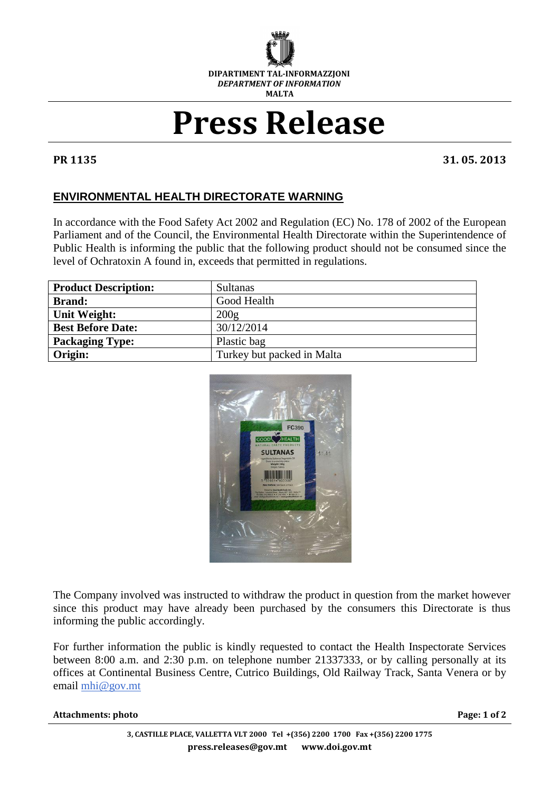

## **Press Release**

**PR 1135 31. 05. 2013**

## **ENVIRONMENTAL HEALTH DIRECTORATE WARNING**

In accordance with the Food Safety Act 2002 and Regulation (EC) No. 178 of 2002 of the European Parliament and of the Council, the Environmental Health Directorate within the Superintendence of Public Health is informing the public that the following product should not be consumed since the level of Ochratoxin A found in, exceeds that permitted in regulations.

| <b>Product Description:</b> | <b>Sultanas</b>            |
|-----------------------------|----------------------------|
| <b>Brand:</b>               | Good Health                |
| Unit Weight:                | 200g                       |
| <b>Best Before Date:</b>    | 30/12/2014                 |
| <b>Packaging Type:</b>      | Plastic bag                |
| Origin:                     | Turkey but packed in Malta |



The Company involved was instructed to withdraw the product in question from the market however since this product may have already been purchased by the consumers this Directorate is thus informing the public accordingly.

For further information the public is kindly requested to contact the Health Inspectorate Services between 8:00 a.m. and 2:30 p.m. on telephone number 21337333, or by calling personally at its offices at Continental Business Centre, Cutrico Buildings, Old Railway Track, Santa Venera or by email [mhi@gov.mt](mailto:mhi@gov.mt)

## **Attachments: photo** Page: 1 of 2